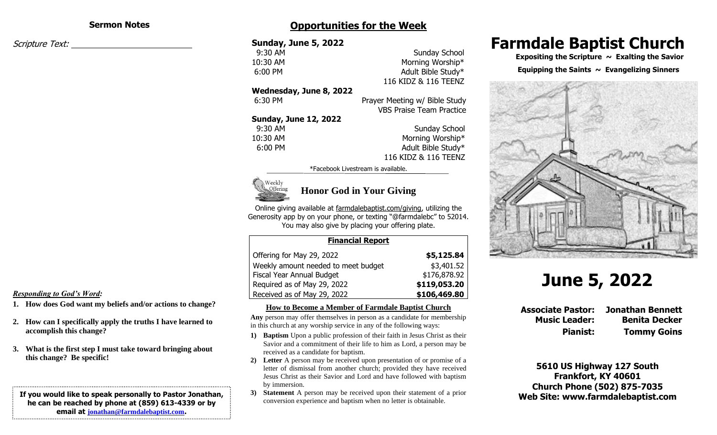#### **Sermon Notes**

Scripture Text:

# **Opportunities for the Week**

## **Sunday, June 5, 2022 9:30 AM** Sunday School 10:30 AM Morning Worship\* 6:00 PM Adult Bible Study\* **Wednesday, June 8, 2022** 6:30 PM Prayer Meeting w/ Bible Study **Sunday, June 12, 2022 9:30 AM** Sunday School 10:30 AM Morning Worship\* 6:00 PM Adult Bible Study\*

116 KIDZ & 116 TEENZ VBS Praise Team Practice

# 116 KIDZ & 116 TEENZ

\*Facebook Livestream is available.



## **Honor God in Your Giving**

Online giving available at farmdalebaptist.com/giving, utilizing the Generosity app by on your phone, or texting "@farmdalebc" to 52014. You may also give by placing your offering plate.

#### **Financial Report**

| Offering for May 29, 2022           | \$5,125.84   |
|-------------------------------------|--------------|
| Weekly amount needed to meet budget | \$3,401.52   |
| Fiscal Year Annual Budget           | \$176,878.92 |
| Required as of May 29, 2022         | \$119,053.20 |
| Received as of May 29, 2022         | \$106,469.80 |

#### **How to Become a Member of Farmdale Baptist Church**

**Any** person may offer themselves in person as a candidate for membership in this church at any worship service in any of the following ways:

- **1) Baptism** Upon a public profession of their faith in Jesus Christ as their Savior and a commitment of their life to him as Lord, a person may be received as a candidate for baptism.
- **2) Letter** A person may be received upon presentation of or promise of a letter of dismissal from another church; provided they have received Jesus Christ as their Savior and Lord and have followed with baptism by immersion.
- **3) Statement** A person may be received upon their statement of a prior conversion experience and baptism when no letter is obtainable.

# **Farmdale Baptist Church**

 **Expositing the Scripture ~ Exalting the Savior**

#### Equipping the Saints  $\sim$  Evangelizing Sinners



# **June 5, 2022**

**Associate Pastor: Jonathan Bennett Music Leader: Benita Decker**

**Pianist: Tommy Goins**

**5610 US Highway 127 South Frankfort, KY 40601 Church Phone (502) 875-7035 Web Site: www.farmdalebaptist.com**

#### *Responding to God's Word:*

- **1. How does God want my beliefs and/or actions to change?**
- **2. How can I specifically apply the truths I have learned to accomplish this change?**
- **3. What is the first step I must take toward bringing about this change? Be specific!**

#### **If you would like to speak personally to Pastor Jonathan, he can be reached by phone at (859) 613-4339 or by email at [jonathan@farmdalebaptist.com](mailto:jonathan@farmdalebaptist.com).**